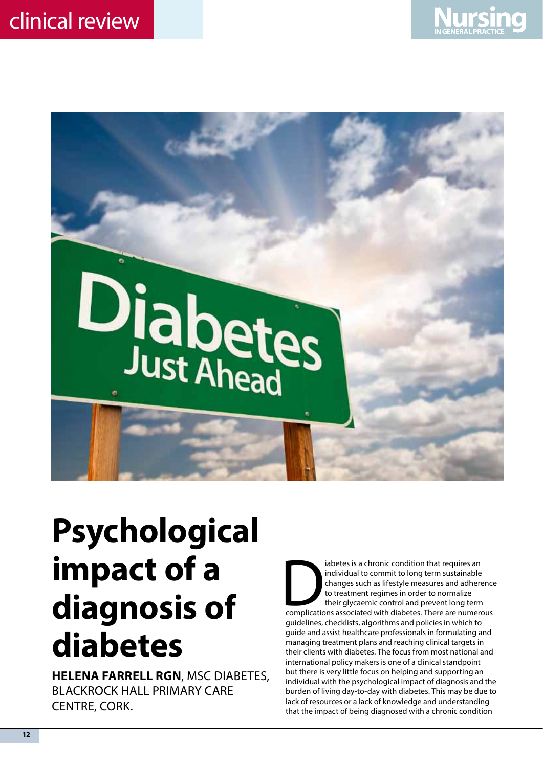



# **Psychological impact of a diagnosis of diabetes**

**Helena Farrell RGN**, MSc Diabetes, Blackrock Hall Primary Care CENTRE, CORK.

iabetes is a chronic condition that requires an individual to commit to long term sustainable<br>changes such as lifestyle measures and adherence<br>to treatment regimes in order to normalize<br>their glycaemic control and prevent individual to commit to long term sustainable changes such as lifestyle measures and adherence to treatment regimes in order to normalize their glycaemic control and prevent long term guidelines, checklists, algorithms and policies in which to guide and assist healthcare professionals in formulating and managing treatment plans and reaching clinical targets in their clients with diabetes. The focus from most national and international policy makers is one of a clinical standpoint but there is very little focus on helping and supporting an individual with the psychological impact of diagnosis and the burden of living day-to-day with diabetes. This may be due to lack of resources or a lack of knowledge and understanding that the impact of being diagnosed with a chronic condition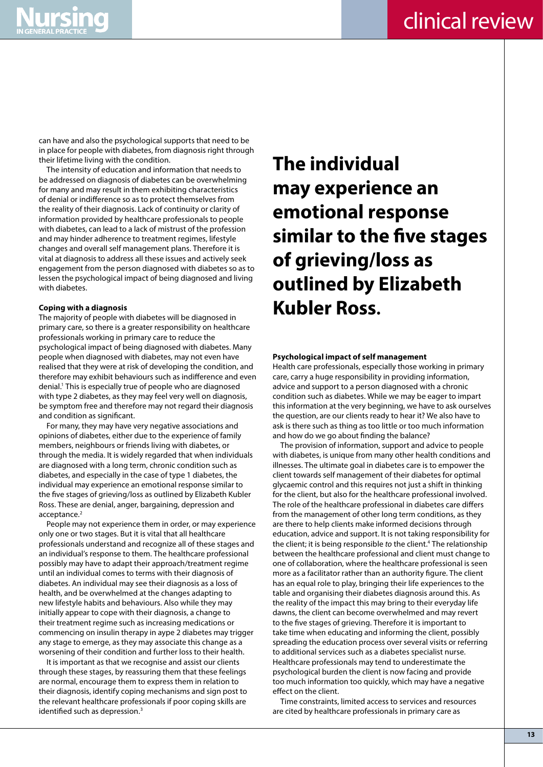can have and also the psychological supports that need to be in place for people with diabetes, from diagnosis right through their lifetime living with the condition.

The intensity of education and information that needs to be addressed on diagnosis of diabetes can be overwhelming for many and may result in them exhibiting characteristics of denial or indifference so as to protect themselves from the reality of their diagnosis. Lack of continuity or clarity of information provided by healthcare professionals to people with diabetes, can lead to a lack of mistrust of the profession and may hinder adherence to treatment regimes, lifestyle changes and overall self management plans. Therefore it is vital at diagnosis to address all these issues and actively seek engagement from the person diagnosed with diabetes so as to lessen the psychological impact of being diagnosed and living with diabetes.

### **Coping with a diagnosis**

The majority of people with diabetes will be diagnosed in primary care, so there is a greater responsibility on healthcare professionals working in primary care to reduce the psychological impact of being diagnosed with diabetes. Many people when diagnosed with diabetes, may not even have realised that they were at risk of developing the condition, and therefore may exhibit behaviours such as indifference and even denial.<sup>1</sup> This is especially true of people who are diagnosed with type 2 diabetes, as they may feel very well on diagnosis, be symptom free and therefore may not regard their diagnosis and condition as significant.

For many, they may have very negative associations and opinions of diabetes, either due to the experience of family members, neighbours or friends living with diabetes, or through the media. It is widely regarded that when individuals are diagnosed with a long term, chronic condition such as diabetes, and especially in the case of type 1 diabetes, the individual may experience an emotional response similar to the five stages of grieving/loss as outlined by Elizabeth Kubler Ross. These are denial, anger, bargaining, depression and acceptance.<sup>2</sup>

People may not experience them in order, or may experience only one or two stages. But it is vital that all healthcare professionals understand and recognize all of these stages and an individual's response to them. The healthcare professional possibly may have to adapt their approach/treatment regime until an individual comes to terms with their diagnosis of diabetes. An individual may see their diagnosis as a loss of health, and be overwhelmed at the changes adapting to new lifestyle habits and behaviours. Also while they may initially appear to cope with their diagnosis, a change to their treatment regime such as increasing medications or commencing on insulin therapy in aype 2 diabetes may trigger any stage to emerge, as they may associate this change as a worsening of their condition and further loss to their health.

It is important as that we recognise and assist our clients through these stages, by reassuring them that these feelings are normal, encourage them to express them in relation to their diagnosis, identify coping mechanisms and sign post to the relevant healthcare professionals if poor coping skills are identified such as depression.<sup>3</sup>

## **The individual may experience an emotional response similar to the five stages of grieving/loss as outlined by Elizabeth Kubler Ross.**

### **Psychological impact of self management**

Health care professionals, especially those working in primary care, carry a huge responsibility in providing information, advice and support to a person diagnosed with a chronic condition such as diabetes. While we may be eager to impart this information at the very beginning, we have to ask ourselves the question, are our clients ready to hear it? We also have to ask is there such as thing as too little or too much information and how do we go about finding the balance?

The provision of information, support and advice to people with diabetes, is unique from many other health conditions and illnesses. The ultimate goal in diabetes care is to empower the client towards self management of their diabetes for optimal glycaemic control and this requires not just a shift in thinking for the client, but also for the healthcare professional involved. The role of the healthcare professional in diabetes care differs from the management of other long term conditions, as they are there to help clients make informed decisions through education, advice and support. It is not taking responsibility for the client; it is being responsible *to* the client.4 The relationship between the healthcare professional and client must change to one of collaboration, where the healthcare professional is seen more as a facilitator rather than an authority figure. The client has an equal role to play, bringing their life experiences to the table and organising their diabetes diagnosis around this. As the reality of the impact this may bring to their everyday life dawns, the client can become overwhelmed and may revert to the five stages of grieving. Therefore it is important to take time when educating and informing the client, possibly spreading the education process over several visits or referring to additional services such as a diabetes specialist nurse. Healthcare professionals may tend to underestimate the psychological burden the client is now facing and provide too much information too quickly, which may have a negative effect on the client.

Time constraints, limited access to services and resources are cited by healthcare professionals in primary care as